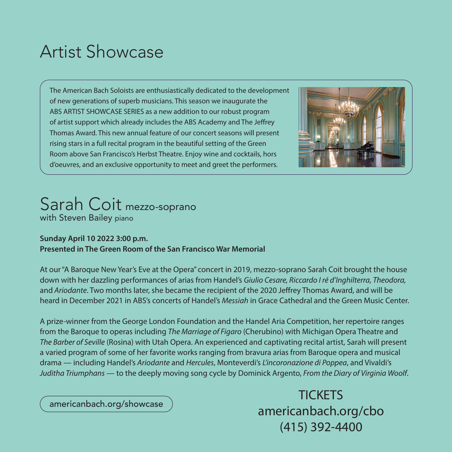## Artist Showcase

The American Bach Soloists are enthusiastically dedicated to the development of new generations of superb musicians. This season we inaugurate the ABS ARTIST SHOWCASE SERIES as a new addition to our robust program of artist support which already includes the ABS Academy and The Jeffrey Thomas Award. This new annual feature of our concert seasons will present rising stars in a full recital program in the beautiful setting of the Green Room above San Francisco's Herbst Theatre. Enjoy wine and cocktails, hors d'oeuvres, and an exclusive opportunity to meet and greet the performers.



## Sarah Coit mezzo-soprano with Steven Bailey piano

## **Sunday April 10 2022 3:00 p.m. Presented in The Green Room of the San Francisco War Memorial**

At our "A Baroque New Year's Eve at the Opera" concert in 2019, mezzo-soprano Sarah Coit brought the house down with her dazzling performances of arias from Handel's *Giulio Cesare, Riccardo I ré d'Inghilterra, Theodora,*  and *Ariodante*. Two months later, she became the recipient of the 2020 Jeffrey Thomas Award, and will be heard in December 2021 in ABS's concerts of Handel's *Messiah* in Grace Cathedral and the Green Music Center.

A prize-winner from the George London Foundation and the Handel Aria Competition, her repertoire ranges from the Baroque to operas including *The Marriage of Figaro* (Cherubino) with Michigan Opera Theatre and *The Barber of Seville* (Rosina) with Utah Opera. An experienced and captivating recital artist, Sarah will present a varied program of some of her favorite works ranging from bravura arias from Baroque opera and musical drama — including Handel's *Ariodante* and *Hercules*, Monteverdi's *L'incoronazione di Poppea*, and Vivaldi's *Juditha Triumphans* — to the deeply moving song cycle by Dominick Argento, *From the Diary of Virginia Woolf*.

americanbach.org/showcase

**TICKETS** americanbach.org/cbo (415) 392-4400